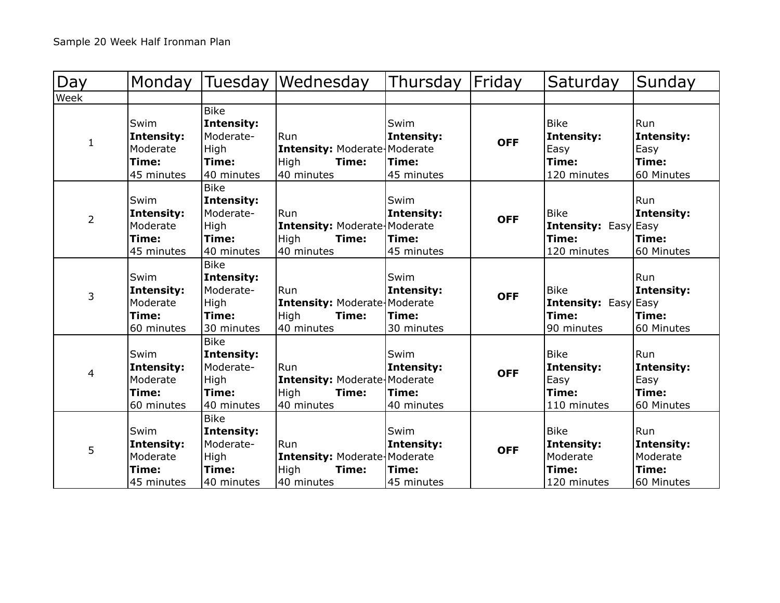| Day          | Monday                                                       | Tuesday                                                                      | Wednesday                                                                        | Thursday                                         | Friday     | Saturday                                                           | Sunday                                               |
|--------------|--------------------------------------------------------------|------------------------------------------------------------------------------|----------------------------------------------------------------------------------|--------------------------------------------------|------------|--------------------------------------------------------------------|------------------------------------------------------|
| Week         |                                                              |                                                                              |                                                                                  |                                                  |            |                                                                    |                                                      |
| $\mathbf{1}$ | Swim<br><b>Intensity:</b><br>Moderate<br>Time:<br>45 minutes | <b>Bike</b><br><b>Intensity:</b><br>Moderate-<br>High<br>Time:<br>40 minutes | Run<br><b>Intensity: Moderate Moderate</b><br>High<br>Time:<br>40 minutes        | <b>Swim</b><br>Intensity:<br>Time:<br>45 minutes | <b>OFF</b> | <b>Bike</b><br>Intensity:<br>Easy<br>Time:<br>120 minutes          | Run<br>Intensity:<br>Easy<br> Time:<br>60 Minutes    |
| 2            | Swim<br>Intensity:<br>Moderate<br>Time:<br>45 minutes        | <b>Bike</b><br><b>Intensity:</b><br>Moderate-<br>High<br>Time:<br>40 minutes | Run<br><b>Intensity: Moderate Moderate</b><br>High<br>Time:<br>40 minutes        | Swim<br>Intensity:<br>Time:<br>45 minutes        | <b>OFF</b> | <b>Bike</b><br><b>Intensity:</b> Easy Easy<br>Time:<br>120 minutes | Run<br>Intensity:<br>Time:<br>60 Minutes             |
| 3            | Swim<br>Intensity:<br>Moderate<br>Time:<br>60 minutes        | <b>Bike</b><br><b>Intensity:</b><br>Moderate-<br>High<br>Time:<br>30 minutes | Run<br><b>Intensity: Moderate Moderate</b><br>High<br>Time:<br>40 minutes        | Swim<br>Intensity:<br>Time:<br>30 minutes        | <b>OFF</b> | <b>Bike</b><br><b>Intensity:</b> Easy Easy<br>Time:<br>90 minutes  | l Run<br>Intensity:<br><b>Time:</b><br>60 Minutes    |
| 4            | Swim<br><b>Intensity:</b><br>Moderate<br>Time:<br>60 minutes | <b>Bike</b><br><b>Intensity:</b><br>Moderate-<br>High<br>Time:<br>40 minutes | <b>Run</b><br><b>Intensity: Moderate Moderate</b><br>High<br>Time:<br>40 minutes | Swim<br><b>Intensity:</b><br>Time:<br>40 minutes | <b>OFF</b> | <b>Bike</b><br>Intensity:<br>Easy<br>Time:<br>110 minutes          | Run<br>Intensity:<br>Easy<br>Time:<br>60 Minutes     |
| 5            | Swim<br><b>Intensity:</b><br>Moderate<br>Time:<br>45 minutes | <b>Bike</b><br><b>Intensity:</b><br>Moderate-<br>High<br>Time:<br>40 minutes | lRun<br><b>Intensity: Moderate Moderate</b><br>High<br>Time:<br>40 minutes       | Swim<br><b>Intensity:</b><br>Time:<br>45 minutes | <b>OFF</b> | <b>Bike</b><br>Intensity:<br>Moderate<br>Time:<br>120 minutes      | Run<br>Intensity:<br>Moderate<br>Time:<br>60 Minutes |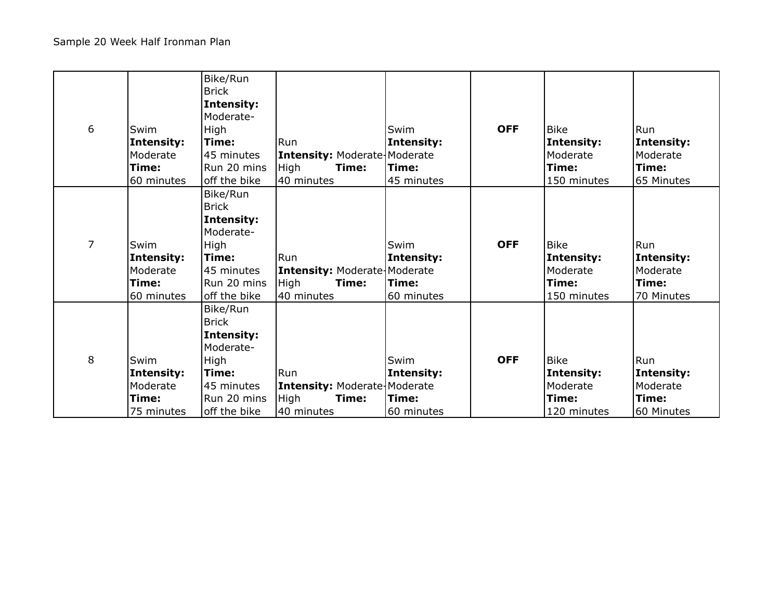| 6 | Swim<br><b>Intensity:</b><br>Moderate<br>Time:<br>60 minutes | Bike/Run<br><b>Brick</b><br>Intensity:<br>Moderate-<br>High<br>Time:<br>145 minutes<br>Run 20 mins<br>off the bike | Run<br><b>Intensity: Moderate Moderate</b><br>High<br>Time:<br>40 minutes | Swim<br>Intensity:<br>Time:<br>45 minutes | <b>OFF</b> | <b>Bike</b><br>Intensity:<br>Moderate<br>Time:<br>150 minutes | Run<br>Intensity:<br>lModerate<br>Time:<br>65 Minutes |
|---|--------------------------------------------------------------|--------------------------------------------------------------------------------------------------------------------|---------------------------------------------------------------------------|-------------------------------------------|------------|---------------------------------------------------------------|-------------------------------------------------------|
| 7 | Swim<br>Intensity:<br>Moderate<br>Time:<br>60 minutes        | Bike/Run<br><b>Brick</b><br>Intensity:<br>Moderate-<br>High<br>Time:<br>45 minutes<br>Run 20 mins<br>off the bike  | Run<br><b>Intensity: Moderate Moderate</b><br>High<br>Time:<br>40 minutes | Swim<br>Intensity:<br>Time:<br>60 minutes | <b>OFF</b> | <b>Bike</b><br>Intensity:<br>Moderate<br>Time:<br>150 minutes | Run<br>Intensity:<br>Moderate<br>Time:<br>70 Minutes  |
| 8 | Swim<br>Intensity:<br>Moderate<br>Time:<br>75 minutes        | Bike/Run<br><b>Brick</b><br>Intensity:<br>Moderate-<br>High<br>Time:<br>45 minutes<br>Run 20 mins<br>off the bike  | Run<br><b>Intensity: Moderate Moderate</b><br>High<br>Time:<br>40 minutes | Swim<br>Intensity:<br>Time:<br>60 minutes | <b>OFF</b> | <b>Bike</b><br>Intensity:<br>Moderate<br>Time:<br>120 minutes | Run<br>Intensity:<br>Moderate<br>Time:<br>60 Minutes  |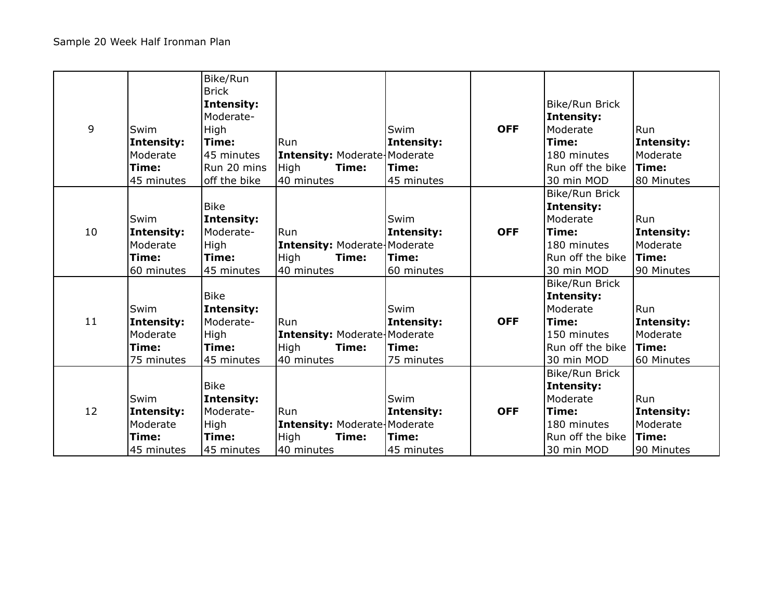|    |                   | Bike/Run<br><b>Brick</b> |                                     |            |            |                  |              |
|----|-------------------|--------------------------|-------------------------------------|------------|------------|------------------|--------------|
|    |                   | Intensity:               |                                     |            |            | Bike/Run Brick   |              |
|    |                   | Moderate-                |                                     |            |            | Intensity:       |              |
| 9  | Swim              | High                     |                                     | Swim       | <b>OFF</b> | Moderate         | Run          |
|    | <b>Intensity:</b> | Time:                    | Run                                 | Intensity: |            | Time:            | Intensity:   |
|    | Moderate          | 45 minutes               | <b>Intensity: Moderate Moderate</b> |            |            | 180 minutes      | Moderate     |
|    | Time:             | Run 20 mins              | High<br>Time:                       | Time:      |            | Run off the bike | <b>Time:</b> |
|    | 45 minutes        | off the bike             | 40 minutes                          | 45 minutes |            | 30 min MOD       | 80 Minutes   |
|    |                   |                          |                                     |            |            | Bike/Run Brick   |              |
|    |                   | <b>Bike</b>              |                                     |            |            | Intensity:       |              |
|    | Swim              | <b>Intensity:</b>        |                                     | Swim       |            | Moderate         | Run          |
| 10 | <b>Intensity:</b> | Moderate-                | Run                                 | Intensity: | <b>OFF</b> | Time:            | Intensity:   |
|    | Moderate          | High                     | Intensity: Moderate   Moderate      |            |            | 180 minutes      | Moderate     |
|    | Time:             | Time:                    | <b>High</b><br>Time:                | Time:      |            | Run off the bike | <b>Time:</b> |
|    | 60 minutes        | 45 minutes               | 40 minutes                          | 60 minutes |            | 30 min MOD       | 90 Minutes   |
|    |                   |                          |                                     |            |            | Bike/Run Brick   |              |
|    |                   | <b>Bike</b>              |                                     |            |            | Intensity:       |              |
|    | Swim              | <b>Intensity:</b>        |                                     | Swim       |            | Moderate         | Run          |
| 11 | Intensity:        | Moderate-                | Run                                 | Intensity: | <b>OFF</b> | Time:            | Intensity:   |
|    | Moderate          | High                     | <b>Intensity: Moderate Moderate</b> |            |            | 150 minutes      | Moderate     |
|    | Time:             | Time:                    | High<br>Time:                       | Time:      |            | Run off the bike | $l$ Time:    |
|    | 75 minutes        | 45 minutes               | 40 minutes                          | 75 minutes |            | 30 min MOD       | 60 Minutes   |
|    |                   |                          |                                     |            |            | Bike/Run Brick   |              |
|    |                   | <b>Bike</b>              |                                     |            |            | Intensity:       |              |
|    | Swim              | <b>Intensity:</b>        |                                     | Swim       |            | Moderate         | Run          |
| 12 | Intensity:        | Moderate-                | Run                                 | Intensity: | <b>OFF</b> | Time:            | Intensity:   |
|    | Moderate          | High                     | <b>Intensity: Moderate Moderate</b> |            |            | 180 minutes      | Moderate     |
|    | Time:             | Time:                    | <b>High</b><br>Time:                | Time:      |            | Run off the bike | Time:        |
|    | 45 minutes        | 45 minutes               | 40 minutes                          | 45 minutes |            | 30 min MOD       | 90 Minutes   |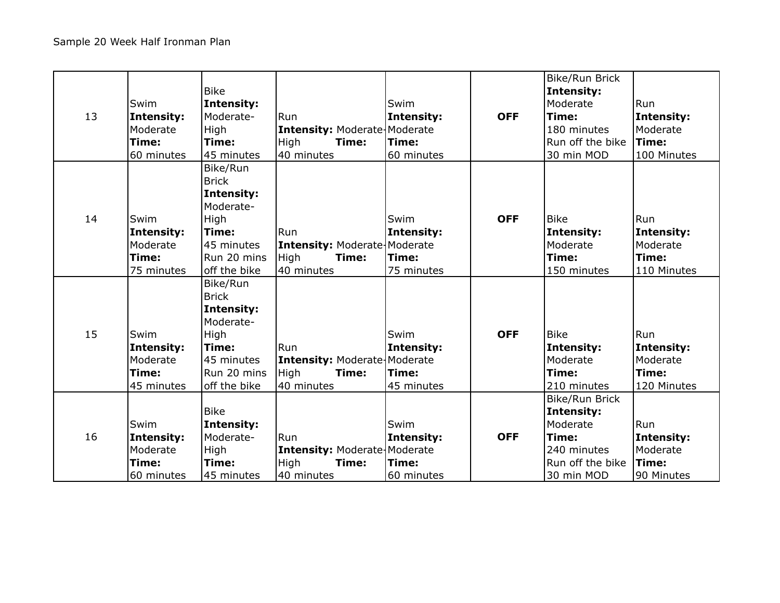|    |            | <b>Bike</b>       |                                     |            |            | Bike/Run Brick<br>Intensity: |              |
|----|------------|-------------------|-------------------------------------|------------|------------|------------------------------|--------------|
|    | Swim       | <b>Intensity:</b> |                                     | Swim       |            | Moderate                     | Run          |
| 13 | Intensity: | Moderate-         | Run                                 | Intensity: | <b>OFF</b> | Time:                        | Intensity:   |
|    | Moderate   | High              | <b>Intensity: Moderate Moderate</b> |            |            | 180 minutes                  | Moderate     |
|    | Time:      | Time:             | High<br>Time:                       | Time:      |            | Run off the bike             | Time:        |
|    | 60 minutes | 45 minutes        | 40 minutes                          | 60 minutes |            | 30 min MOD                   | 100 Minutes  |
|    |            | Bike/Run          |                                     |            |            |                              |              |
|    |            | <b>Brick</b>      |                                     |            |            |                              |              |
|    |            | <b>Intensity:</b> |                                     |            |            |                              |              |
|    |            | Moderate-         |                                     |            |            |                              |              |
| 14 | Swim       | High              |                                     | Swim       | <b>OFF</b> | <b>Bike</b>                  | Run          |
|    | Intensity: | Time:             | Run                                 | Intensity: |            | Intensity:                   | Intensity:   |
|    | Moderate   | 45 minutes        | <b>Intensity: Moderate Moderate</b> |            |            | Moderate                     | Moderate     |
|    | Time:      | Run 20 mins       | High<br>Time:                       | Time:      |            | Time:                        | Time:        |
|    | 75 minutes | off the bike      | 40 minutes                          | 75 minutes |            | 150 minutes                  | 110 Minutes  |
|    |            | Bike/Run          |                                     |            |            |                              |              |
|    |            | <b>Brick</b>      |                                     |            |            |                              |              |
|    |            | <b>Intensity:</b> |                                     |            |            |                              |              |
|    |            | Moderate-         |                                     |            |            |                              |              |
| 15 | Swim       | High              |                                     | Swim       | <b>OFF</b> | <b>Bike</b>                  | Run          |
|    | Intensity: | Time:             | Run                                 | Intensity: |            | Intensity:                   | Intensity:   |
|    | Moderate   | 45 minutes        | <b>Intensity: Moderate Moderate</b> |            |            | Moderate                     | Moderate     |
|    | Time:      | Run 20 mins       | High<br>Time:                       | Time:      |            | Time:                        | Time:        |
|    | 45 minutes | off the bike      | 40 minutes                          | 45 minutes |            | 210 minutes                  | 120 Minutes  |
|    |            |                   |                                     |            |            | Bike/Run Brick               |              |
|    |            | <b>Bike</b>       |                                     |            |            | Intensity:                   |              |
|    | Swim       | Intensity:        |                                     | Swim       |            | Moderate                     | Run          |
| 16 | Intensity: | Moderate-         | Run                                 | Intensity: | <b>OFF</b> | Time:                        | Intensity:   |
|    | Moderate   | High              | <b>Intensity: Moderate Moderate</b> |            |            | 240 minutes                  | Moderate     |
|    | Time:      | Time:             | High<br>Time:                       | Time:      |            | Run off the bike             | <b>Time:</b> |
|    | 60 minutes | 45 minutes        | 40 minutes                          | 60 minutes |            | 30 min MOD                   | 90 Minutes   |